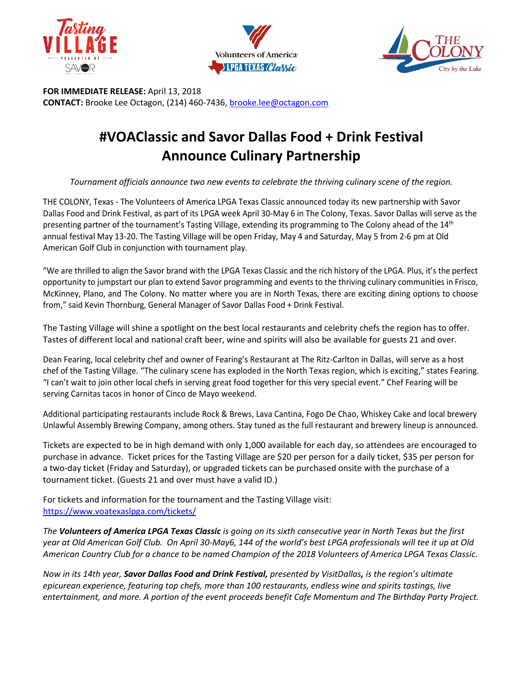





**FOR IMMEDIATE RELEASE:** April 13, 2018 **CONTACT:** Brooke Lee Octagon, (214) 460-7436[, brooke.lee@octagon.com](mailto:brooke.lee@octagon.com)

## **#VOAClassic and Savor Dallas Food + Drink Festival Announce Culinary Partnership**

*Tournament officials announce two new events to celebrate the thriving culinary scene of the region.*

THE COLONY, Texas - The Volunteers of America LPGA Texas Classic announced today its new partnership with Savor Dallas Food and Drink Festival, as part of its LPGA week April 30-May 6 in The Colony, Texas. Savor Dallas will serve as the presenting partner of the tournament's Tasting Village, extending its programming to The Colony ahead of the 14<sup>th</sup> annual festival May 13-20. The Tasting Village will be open Friday, May 4 and Saturday, May 5 from 2-6 pm at Old American Golf Club in conjunction with tournament play.

"We are thrilled to align the Savor brand with the LPGA Texas Classic and the rich history of the LPGA. Plus, it's the perfect opportunity to jumpstart our plan to extend Savor programming and events to the thriving culinary communities in Frisco, McKinney, Plano, and The Colony. No matter where you are in North Texas, there are exciting dining options to choose from," said Kevin Thornburg, General Manager of Savor Dallas Food + Drink Festival.

The Tasting Village will shine a spotlight on the best local restaurants and celebrity chefs the region has to offer. Tastes of different local and national craft beer, wine and spirits will also be available for guests 21 and over.

Dean Fearing, local celebrity chef and owner of Fearing's Restaurant at The Ritz-Carlton in Dallas, will serve as a host chef of the Tasting Village. "The culinary scene has exploded in the North Texas region, which is exciting," states Fearing. "I can't wait to join other local chefs in serving great food together for this very special event." Chef Fearing will be serving Carnitas tacos in honor of Cinco de Mayo weekend.

Additional participating restaurants include Rock & Brews, Lava Cantina, Fogo De Chao, Whiskey Cake and local brewery Unlawful Assembly Brewing Company, among others. Stay tuned as the full restaurant and brewery lineup is announced.

Tickets are expected to be in high demand with only 1,000 available for each day, so attendees are encouraged to purchase in advance. Ticket prices for the Tasting Village are \$20 per person for a daily ticket, \$35 per person for a two-day ticket (Friday and Saturday), or upgraded tickets can be purchased onsite with the purchase of a tournament ticket. (Guests 21 and over must have a valid ID.)

For tickets and information for the tournament and the Tasting Village visit: <https://www.voatexaslpga.com/tickets/>

*The Volunteers of America LPGA Texas Classic is going on its sixth consecutive year in North Texas but the first year at Old American Golf Club. On April 30-May6, 144 of the world's best LPGA professionals will tee it up at Old American Country Club for a chance to be named Champion of the 2018 Volunteers of America LPGA Texas Classic*.

*Now in its 14th year, Savor Dallas Food and Drink Festival, presented by VisitDallas, is the region's ultimate epicurean experience, featuring top chefs, more than 100 restaurants, endless wine and spirits tastings, live entertainment, and more. A portion of the event proceeds benefit Cafe Momentum and The Birthday Party Project.*